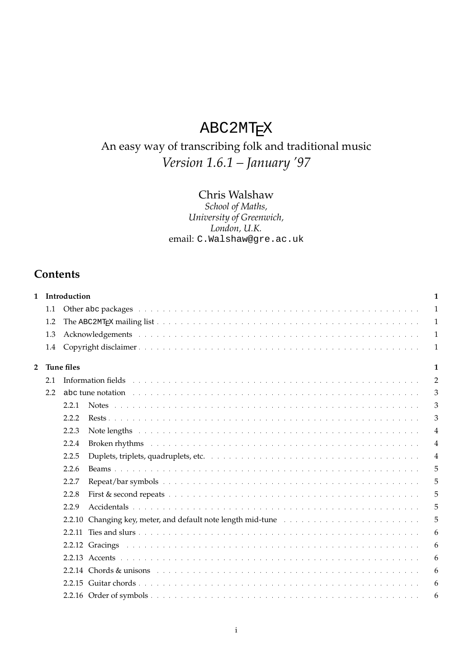# ABC2MTEX

# An easy way of transcribing folk and traditional music *Version 1.6.1 – January '97*

## Chris Walshaw

*School of Maths, University of Greenwich, London, U.K.* email: C.Walshaw@gre.ac.uk

## **Contents**

| $\mathbf{1}$   |     | Introduction<br>$\mathbf{1}$                                                                                                                                                                                                                     |                |  |  |  |  |  |  |
|----------------|-----|--------------------------------------------------------------------------------------------------------------------------------------------------------------------------------------------------------------------------------------------------|----------------|--|--|--|--|--|--|
|                | 1.1 | Other abc packages entering the service of the service of the service of the service of the service of the service of the service of the service of the service of the service of the service of the service of the service of                   | 1              |  |  |  |  |  |  |
|                | 1.2 | The ABC2MT <sub>F</sub> X mailing list the contract of the contract of the contract of the contract of the contract of the contract of the contract of the contract of the contract of the contract of the contract of the contract of th        | $\mathbf{1}$   |  |  |  |  |  |  |
|                | 1.3 |                                                                                                                                                                                                                                                  | $\mathbf{1}$   |  |  |  |  |  |  |
|                | 1.4 |                                                                                                                                                                                                                                                  | 1              |  |  |  |  |  |  |
| $\overline{2}$ |     | <b>Tune files</b>                                                                                                                                                                                                                                |                |  |  |  |  |  |  |
|                | 2.1 | Information fields the contract of the contract of the contract of the contract of the contract of the contract of the contract of the contract of the contract of the contract of the contract of the contract of the contrac                   | $\overline{2}$ |  |  |  |  |  |  |
|                | 2.2 | abe tune notation experience in the contract of the contract of the contract of the contract of the contract of the contract of the contract of the contract of the contract of the contract of the contract of the contract o                   | 3              |  |  |  |  |  |  |
|                |     | 2.2.1                                                                                                                                                                                                                                            | 3              |  |  |  |  |  |  |
|                |     | 2.2.2                                                                                                                                                                                                                                            | 3              |  |  |  |  |  |  |
|                |     | Note lengths and account and account account account account account account and<br>2.2.3                                                                                                                                                        | 4              |  |  |  |  |  |  |
|                |     | <b>Broken rhythms</b> and a construction of the construction of the construction of the construction of the construction of the construction of the construction of the construction of the construction of the construction of $\math$<br>2.2.4 | 4              |  |  |  |  |  |  |
|                |     | Duplets, triplets, quadruplets, etc.<br>2.2.5                                                                                                                                                                                                    | 4              |  |  |  |  |  |  |
|                |     | 2.2.6                                                                                                                                                                                                                                            | 5              |  |  |  |  |  |  |
|                |     | Repeat/bar symbols and contain the contract of the contract of the contract of the contract of the contract of<br>2.2.7                                                                                                                          | 5              |  |  |  |  |  |  |
|                |     | 2.2.8                                                                                                                                                                                                                                            | 5              |  |  |  |  |  |  |
|                |     | 2.2.9                                                                                                                                                                                                                                            | 5              |  |  |  |  |  |  |
|                |     | Changing key, meter, and default note length mid-tune and account of the contract of the contract of the contract of the contract of the contract of the contract of the contract of the contract of the contract of the contr<br>2.2.10         | 5              |  |  |  |  |  |  |
|                |     |                                                                                                                                                                                                                                                  | 6              |  |  |  |  |  |  |
|                |     |                                                                                                                                                                                                                                                  | 6              |  |  |  |  |  |  |
|                |     |                                                                                                                                                                                                                                                  | 6              |  |  |  |  |  |  |
|                |     | 2.2.14 Chords & unisons entertainment and the contract of the contract of the contract of the contract of the contract of the contract of the contract of the contract of the contract of the contract of the contract of the                    | 6              |  |  |  |  |  |  |
|                |     |                                                                                                                                                                                                                                                  | 6              |  |  |  |  |  |  |
|                |     |                                                                                                                                                                                                                                                  | 6              |  |  |  |  |  |  |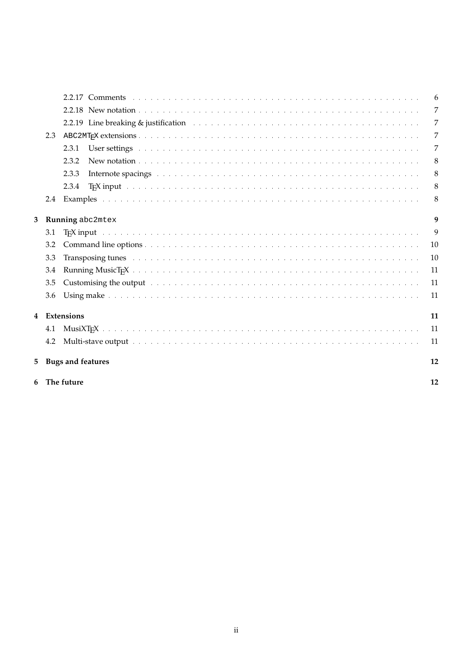|   |                                      |                                                                                                                                                                                                                                         | 6              |  |  |
|---|--------------------------------------|-----------------------------------------------------------------------------------------------------------------------------------------------------------------------------------------------------------------------------------------|----------------|--|--|
|   |                                      |                                                                                                                                                                                                                                         | 7              |  |  |
|   |                                      |                                                                                                                                                                                                                                         | $\overline{7}$ |  |  |
|   | 2.3                                  |                                                                                                                                                                                                                                         | $\overline{7}$ |  |  |
|   |                                      | User settings the community of the community of the community of the community of the community of the community of the community of the community of the community of the community of the community of the community of the<br>2.3.1  | $\overline{7}$ |  |  |
|   |                                      | 2.3.2                                                                                                                                                                                                                                   | 8              |  |  |
|   |                                      | Internote spacings and a construction of the construction of the construction of the construction of the construction of the construction of the construction of the construction of the construction of the construction of t<br>2.3.3 | 8              |  |  |
|   |                                      | TpX input a construction of the contract of the construction of the construction of the construction of the construction of the construction of the construction of the construction of the construction of the construction o<br>2.3.4 | 8              |  |  |
|   |                                      |                                                                                                                                                                                                                                         | 8              |  |  |
|   |                                      |                                                                                                                                                                                                                                         |                |  |  |
| 3 | $\boldsymbol{q}$<br>Running abc2mtex |                                                                                                                                                                                                                                         |                |  |  |
|   | 3.1                                  | TEX input the contract of the contract of the contract of the contract of the contract of the contract of                                                                                                                               | 9              |  |  |
|   | 3.2                                  |                                                                                                                                                                                                                                         | 10             |  |  |
|   | 3.3                                  | <b>Transposing tunes</b> ( <i>i.e., i.e., i.e., i.e., i.e., i.e., i.e., i.e., i.e., i.e., i.e., i.e., i.e., i.e.</i>                                                                                                                    | 10             |  |  |
|   | 3.4                                  |                                                                                                                                                                                                                                         | 11             |  |  |
|   | 3.5                                  | Customising the output with a contract of the contract of the contract of the contract of the contract of the contract of the contract of the contract of the contract of the contract of the contract of the contract of the           | 11             |  |  |
|   | 3.6                                  | Using make the contract of the contract of the contract of the contract of the contract of the contract of the                                                                                                                          | 11             |  |  |
|   |                                      |                                                                                                                                                                                                                                         |                |  |  |
| 4 |                                      | <b>Extensions</b>                                                                                                                                                                                                                       | 11             |  |  |
|   | 4.1                                  |                                                                                                                                                                                                                                         | 11             |  |  |
|   | 4.2                                  | Multi-stave output was a conservative conservative conservative conservative conservative conservative conservative conservative conservative conservative conservative conservative conservative conservative conservative co          | 11             |  |  |
| 5 |                                      | <b>Bugs and features</b>                                                                                                                                                                                                                | 12             |  |  |
| 6 |                                      | The future                                                                                                                                                                                                                              | 12             |  |  |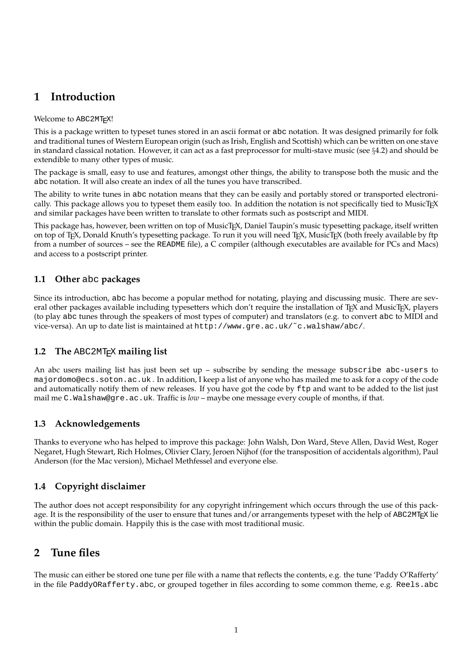## **1 Introduction**

#### Welcome to ABC2MTFX!

This is a package written to typeset tunes stored in an ascii format or abc notation. It was designed primarily for folk and traditional tunes of Western European origin (such as Irish, English and Scottish) which can be written on one stave in standard classical notation. However, it can act as a fast preprocessor for multi-stave music (see  $\S 4.2$ ) and should be extendible to many other types of music.

The package is small, easy to use and features, amongst other things, the ability to transpose both the music and the abc notation. It will also create an index of all the tunes you have transcribed.

The ability to write tunes in abc notation means that they can be easily and portably stored or transported electronically. This package allows you to typeset them easily too. In addition the notation is not specifically tied to MusicTEX and similar packages have been written to translate to other formats such as postscript and MIDI.

This package has, however, been written on top of MusicT<sub>E</sub>X, Daniel Taupin's music typesetting package, itself written on top of T<sub>E</sub>X, Donald Knuth's typesetting package. To run it you will need T<sub>E</sub>X, MusicT<sub>E</sub>X (both freely available by ftp from a number of sources – see the README file), a C compiler (although executables are available for PCs and Macs) and access to a postscript printer.

### **1.1 Other** abc **packages**

Since its introduction, abc has become a popular method for notating, playing and discussing music. There are several other packages available including typesetters which don't require the installation of TEX and MusicTEX, players (to play abc tunes through the speakers of most types of computer) and translators (e.g. to convert abc to MIDI and vice-versa). An up to date list is maintained at http://www.gre.ac.uk/˜c.walshaw/abc/.

### **1.2** The ABC2MT<sub>E</sub>X mailing list

An abc users mailing list has just been set up – subscribe by sending the message subscribe abc-users to majordomo@ecs.soton.ac.uk . In addition, I keep a list of anyone who has mailed me to ask for a copy of the code and automatically notify them of new releases. If you have got the code by ftp and want to be added to the list just mail me C.Walshaw@gre.ac.uk. Traffic is *low* – maybe one message every couple of months, if that.

### **1.3 Acknowledgements**

Thanks to everyone who has helped to improve this package: John Walsh, Don Ward, Steve Allen, David West, Roger Negaret, Hugh Stewart, Rich Holmes, Olivier Clary, Jeroen Nijhof (for the transposition of accidentals algorithm), Paul Anderson (for the Mac version), Michael Methfessel and everyone else.

## **1.4 Copyright disclaimer**

The author does not accept responsibility for any copyright infringement which occurs through the use of this package. It is the responsibility of the user to ensure that tunes and/or arrangements typeset with the help of ABC2MT<sub>E</sub>X lie within the public domain. Happily this is the case with most traditional music.

## **2 Tune files**

The music can either be stored one tune per file with a name that reflects the contents, e.g. the tune 'Paddy O'Rafferty' in the file PaddyORafferty.abc, or grouped together in files according to some common theme, e.g. Reels.abc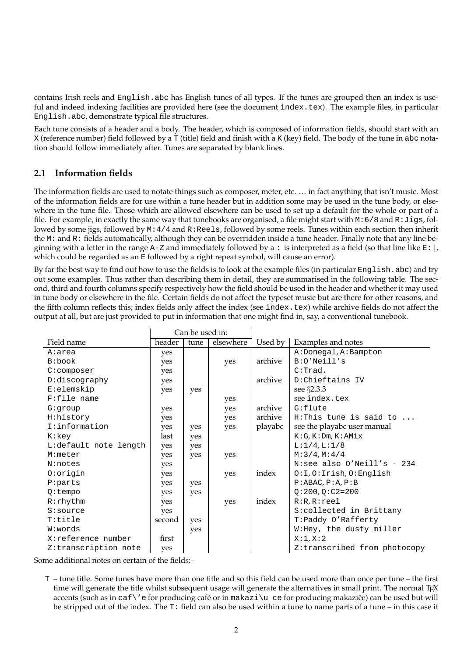contains Irish reels and English.abc has English tunes of all types. If the tunes are grouped then an index is useful and indeed indexing facilities are provided here (see the document index.tex). The example files, in particular English.abc, demonstrate typical file structures.

Each tune consists of a header and a body. The header, which is composed of information fields, should start with an  $X$  (reference number) field followed by a  $T$  (title) field and finish with a K (key) field. The body of the tune in abc notation should follow immediately after. Tunes are separated by blank lines.

## **2.1 Information fields**

The information fields are used to notate things such as composer, meter, etc. ... in fact anything that isn't music. Most of the information fields are for use within a tune header but in addition some may be used in the tune body, or elsewhere in the tune file. Those which are allowed elsewhere can be used to set up a default for the whole or part of a file. For example, in exactly the same way that tunebooks are organised, a file might start with  $M:6/8$  and  $R:Jigs, fol$ lowed by some jigs, followed by M: 4/4 and R: Reels, followed by some reels. Tunes within each section then inherit the M: and R: fields automatically, although they can be overridden inside a tune header. Finally note that any line beginning with a letter in the range A-Z and immediately followed by a: is interpreted as a field (so that line like  $E:$   $|$ , which could be regarded as an E followed by a right repeat symbol, will cause an error).

By far the best way to find out how to use the fields is to look at the example files (in particular English.abc) and try out some examples. Thus rather than describing them in detail, they are summarised in the following table. The second, third and fourth columns specify respectively how the field should be used in the header and whether it may used in tune body or elsewhere in the file. Certain fields do not affect the typeset music but are there for other reasons, and the fifth column reflects this; index fields only affect the index (see index.tex) while archive fields do not affect the output at all, but are just provided to put in information that one might find in, say, a conventional tunebook.

|                       | Can be used in: |      |           |         |                                    |
|-----------------------|-----------------|------|-----------|---------|------------------------------------|
| Field name            | header          | tune | elsewhere | Used by | Examples and notes                 |
| A:area                | yes             |      |           |         | A: Donegal, A: Bampton             |
| B:book                | yes             |      | yes       | archive | $B:O'$ Neill's                     |
| C:composer            | yes             |      |           |         | C:Trad.                            |
| D:discography         | yes             |      |           | archive | D:Chieftains IV                    |
| E:elemskip            | yes             | yes  |           |         | see §2.3.3                         |
| F:file name           |                 |      | yes       |         | see index.tex                      |
| G:group               | yes             |      | yes       | archive | G:flute                            |
| H:history             | yes             |      | yes       | archive | $H: This$ tune is said to $\ldots$ |
| I:information         | yes             | yes  | yes       | playabc | see the playabc user manual        |
| K:key                 | last            | yes  |           |         | K:G, K:DM, K:AMix                  |
| L:default note length | yes             | yes  |           |         | L:1/4, L:1/8                       |
| M:meter               | yes             | yes  | yes       |         | M: 3/4, M: 4/4                     |
| N:notes               | yes             |      |           |         | $N:$ see also O'Neill's - 234      |
| $0:$ origin           | yes             |      | yes       | index   | 0:I,0:Irish,0:English              |
| P:parts               | yes             | yes  |           |         | P:ABAC, P:A, P:B                   |
| $Q:$ tempo            | yes             | yes  |           |         | $Q: 200, Q: C2 = 200$              |
| R:rhythm              | yes             |      | yes       | index   | $R:R, R:$ reel                     |
| S:source              | yes             |      |           |         | S:collected in Brittany            |
| T:title               | second          | yes  |           |         | T:Paddy O'Rafferty                 |
| W:words               |                 | yes  |           |         | W: Hey, the dusty miller           |
| X:reference number    | first           |      |           |         | X:1, X:2                           |
| Z:transcription note  | yes             |      |           |         | Z:transcribed from photocopy       |

Some additional notes on certain of the fields:–

T – tune title. Some tunes have more than one title and so this field can be used more than once per tune – the first time will generate the title whilst subsequent usage will generate the alternatives in small print. The normal T<sub>E</sub>X accents (such as in caf\'e for producing café or in makazi\u ce for producing makaziče) can be used but will be stripped out of the index. The T: field can also be used within a tune to name parts of a tune – in this case it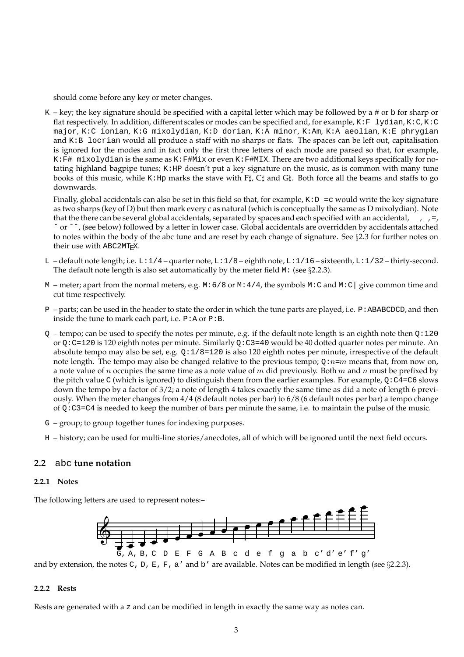should come before any key or meter changes.

 $K$  – key; the key signature should be specified with a capital letter which may be followed by a # or b for sharp or flat respectively. In addition, different scales or modes can be specified and, for example,  $K:F \perp y$ dian,  $K:C,K:C$ major, K:C ionian, K:G mixolydian, K:D dorian, K:A minor, K:Am, K:A aeolian, K:E phrygian and K:B locrian would all produce a staff with no sharps or flats. The spaces can be left out, capitalisation is ignored for the modes and in fact only the first three letters of each mode are parsed so that, for example, K:F# mixolydian is the same as K:F#Mix or even K:F#MIX. There are two additional keys specifically for notating highland bagpipe tunes;  $K:HP$  doesn't put a key signature on the music, as is common with many tune books of this music, while K:Hp marks the stave with F $\sharp$ , C $\sharp$  and G $\sharp$ . Both force all the beams and staffs to go downwards.

Finally, global accidentals can also be set in this field so that, for example,  $K: D = c$  would write the key signature as two sharps (key of D) but then mark every c as natural (which is conceptually the same as D mixolydian). Note that the there can be several global accidentals, separated by spaces and each specified with an accidental,  $\frac{1}{2}$ ,  $\frac{1}{2}$ , =, ˆ or ˆˆ, (see below) followed by a letter in lower case. Global accidentals are overridden by accidentals attached to notes within the body of the abc tune and are reset by each change of signature. See §2.3 for further notes on their use with ABC2MTFX.

- $L -$ default note length; i.e.  $L:1/4 -$ quarter note,  $L:1/8 -$ eighth note,  $L:1/16 -$ sixteenth,  $L:1/32 -$ thirty-second. The default note length is also set automatically by the meter field  $M$ : (see  $\S 2.2.3$ ).
- M meter; apart from the normal meters, e.g. M: 6/8 or M: 4/4, the symbols M: C and M: C | give common time and cut time respectively.
- P parts; can be used in the header to state the order in which the tune parts are played, i.e. P:ABABCDCD, and then inside the tune to mark each part, i.e. P:A or P:B.
- Q tempo; can be used to specify the notes per minute, e.g. if the default note length is an eighth note then Q:120 or Q:C=120 is 120 eighth notes per minute. Similarly Q:C3=40 would be 40 dotted quarter notes per minute. An absolute tempo may also be set, e.g. Q:1/8=120 is also 120 eighth notes per minute, irrespective of the default note length. The tempo may also be changed relative to the previous tempo;  $Q: n=m$  means that, from now on, a note value of *n* occupies the same time as a note value of *m* did previously. Both *m* and *n* must be prefixed by the pitch value C (which is ignored) to distinguish them from the earlier examples. For example, Q:C4=C6 slows down the tempo by a factor of 3/2; a note of length 4 takes exactly the same time as did a note of length 6 previously. When the meter changes from 4/4 (8 default notes per bar) to 6/8 (6 default notes per bar) a tempo change of  $Q:C3=C4$  is needed to keep the number of bars per minute the same, i.e. to maintain the pulse of the music.
- G group; to group together tunes for indexing purposes.
- H history; can be used for multi-line stories/anecdotes, all of which will be ignored until the next field occurs.

#### **2.2** abc **tune notation**

#### **2.2.1 Notes**

The following letters are used to represent notes:–



and by extension, the notes C, D, E, F, a' and b' are available. Notes can be modified in length (see  $\S 2.2.3$ ).

#### **2.2.2 Rests**

Rests are generated with a z and can be modified in length in exactly the same way as notes can.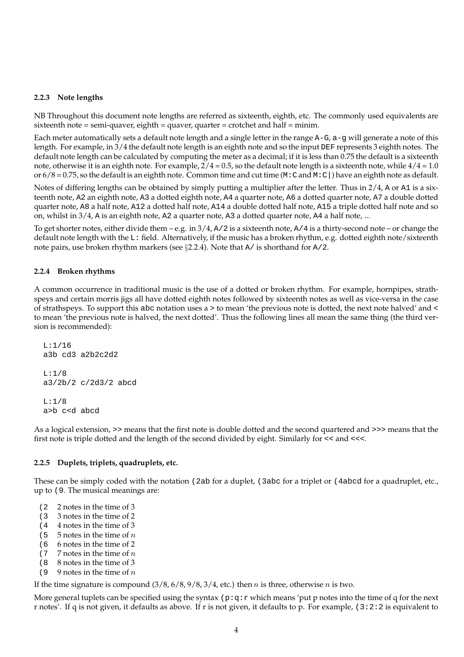#### **2.2.3 Note lengths**

NB Throughout this document note lengths are referred as sixteenth, eighth, etc. The commonly used equivalents are  $s$ ixteenth note = semi-quaver, eighth = quaver, quarter = crotchet and half = minim.

Each meter automatically sets a default note length and a single letter in the range  $A-G$ ,  $A-g$  will generate a note of this length. For example, in 3/4 the default note length is an eighth note and so the input DEF represents 3 eighth notes. The default note length can be calculated by computing the meter as a decimal; if it is less than 0.75 the default is a sixteenth note, otherwise it is an eighth note. For example,  $2/4 = 0.5$ , so the default note length is a sixteenth note, while  $4/4 = 1.0$ or  $6/8 = 0.75$ , so the default is an eighth note. Common time and cut time  $(M:C \cap M:C)$  have an eighth note as default.

Notes of differing lengths can be obtained by simply putting a multiplier after the letter. Thus in  $2/4$ , A or A1 is a sixteenth note, A2 an eighth note, A3 a dotted eighth note, A4 a quarter note, A6 a dotted quarter note, A7 a double dotted quarter note, A8 a half note, A12 a dotted half note, A14 a double dotted half note, A15 a triple dotted half note and so on, whilst in 3/4, A is an eighth note, A2 a quarter note, A3 a dotted quarter note, A4 a half note, ...

To get shorter notes, either divide them – e.g. in  $3/4$ ,  $A/2$  is a sixteenth note,  $A/4$  is a thirty-second note – or change the default note length with the L: field. Alternatively, if the music has a broken rhythm, e.g. dotted eighth note/sixteenth note pairs, use broken rhythm markers (see  $\S 2.2.4$ ). Note that A/ is shorthand for A/2.

#### **2.2.4 Broken rhythms**

A common occurrence in traditional music is the use of a dotted or broken rhythm. For example, hornpipes, strathspeys and certain morris jigs all have dotted eighth notes followed by sixteenth notes as well as vice-versa in the case of strathspeys. To support this abc notation uses a > to mean 'the previous note is dotted, the next note halved' and < to mean 'the previous note is halved, the next dotted'. Thus the following lines all mean the same thing (the third version is recommended):

```
L:1/16a3b cd3 a2b2c2d2
T:1/8a3/2b/2 c/2d3/2 abcd
L:1/8a>b c<d abcd
```
As a logical extension, >> means that the first note is double dotted and the second quartered and >>> means that the first note is triple dotted and the length of the second divided by eight. Similarly for << and <<<.

#### **2.2.5 Duplets, triplets, quadruplets, etc.**

These can be simply coded with the notation (2ab for a duplet, (3abc for a triplet or (4abcd for a quadruplet, etc., up to (9. The musical meanings are:

- (2 2 notes in the time of 3
- (3 3 notes in the time of 2
- (4 4 notes in the time of 3
- (5  $-5$  notes in the time of *n*
- (6 6 notes in the time of 2
- (7 7 notes in the time of  $n$
- (8 8 notes in the time of 3
- (9 9 notes in the time of  $n$

If the time signature is compound  $(3/8, 6/8, 9/8, 3/4,$  etc.) then *n* is three, otherwise *n* is two.

More general tuplets can be specified using the syntax ( $p:q:r$  which means 'put p notes into the time of q for the next r notes'. If q is not given, it defaults as above. If r is not given, it defaults to p. For example, (3:2:2 is equivalent to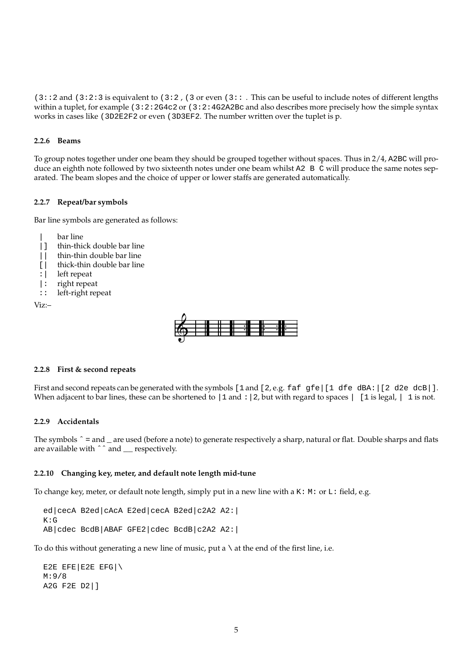$(3:2:2$  and  $(3:2:3$  is equivalent to  $(3:2, (3 \text{ or even } (3:2:$  . This can be useful to include notes of different lengths within a tuplet, for example (3:2:2G4c2 or (3:2:4G2A2Bc and also describes more precisely how the simple syntax works in cases like (3D2E2F2 or even (3D3EF2. The number written over the tuplet is p.

#### **2.2.6 Beams**

To group notes together under one beam they should be grouped together without spaces. Thus in 2/4, A2BC will produce an eighth note followed by two sixteenth notes under one beam whilst A2 B C will produce the same notes separated. The beam slopes and the choice of upper or lower staffs are generated automatically.

#### **2.2.7 Repeat/bar symbols**

Bar line symbols are generated as follows:

- | bar line
- | ] thin-thick double bar line
- | | thin-thin double bar line
- [ | thick-thin double bar line
- :| left repeat
- |: right repeat
- :: left-right repeat

Viz:–



#### **2.2.8 First & second repeats**

First and second repeats can be generated with the symbols [1 and [2, e.g. faf gfe|[1 dfe dBA: |[2 d2e dcB|]. When adjacent to bar lines, these can be shortened to  $|1$  and  $|2$ , but with regard to spaces  $|1$  is legal,  $|1$  is not.

#### **2.2.9 Accidentals**

The symbols  $\hat{ }$  = and \_ are used (before a note) to generate respectively a sharp, natural or flat. Double sharps and flats are available with ^^ and \_\_ respectively.

#### **2.2.10 Changing key, meter, and default note length mid-tune**

To change key, meter, or default note length, simply put in a new line with a  $K: M:$  or  $L:$  field, e.g.

```
ed|cecA B2ed|cAcA E2ed|cecA B2ed|c2A2 A2:|
K:G
AB|cdec BcdB|ABAF GFE2|cdec BcdB|c2A2 A2:|
```
To do this without generating a new line of music, put a  $\setminus$  at the end of the first line, i.e.

```
E2E EFE |E2E EFG |\n\setminusM:9/8
A2G F2E D2|]
```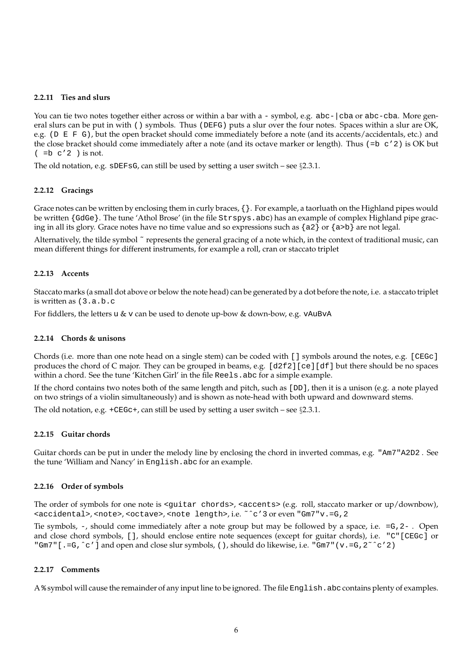#### **2.2.11 Ties and slurs**

You can tie two notes together either across or within a bar with a - symbol, e.g. abc-|cba or abc-cba. More general slurs can be put in with () symbols. Thus (DEFG) puts a slur over the four notes. Spaces within a slur are OK, e.g. ( $D \to F G$ ), but the open bracket should come immediately before a note (and its accents/accidentals, etc.) and the close bracket should come immediately after a note (and its octave marker or length). Thus (=b c'2) is OK but  $($  = b  $c'2$  ) is not.

The old notation, e.g.  $s$ DEFsG, can still be used by setting a user switch – see  $\S 2.3.1$ .

#### **2.2.12 Gracings**

Grace notes can be written by enclosing them in curly braces, {}. For example, a taorluath on the Highland pipes would be written {GdGe}. The tune 'Athol Brose' (in the file Strspys.abc) has an example of complex Highland pipe gracing in all its glory. Grace notes have no time value and so expressions such as  $\{a\}$  or  $\{a>b\}$  are not legal.

Alternatively, the tilde symbol ~ represents the general gracing of a note which, in the context of traditional music, can mean different things for different instruments, for example a roll, cran or staccato triplet

#### **2.2.13 Accents**

Staccato marks (a small dot above or below the note head) can be generated by a dot before the note, i.e. a staccato triplet is written as (3.a.b.c

For fiddlers, the letters u & v can be used to denote up-bow & down-bow, e.g. vAuBvA

#### **2.2.14 Chords & unisons**

Chords (i.e. more than one note head on a single stem) can be coded with [] symbols around the notes, e.g. [CEGc] produces the chord of C major. They can be grouped in beams, e.g. [d2f2][ce][df] but there should be no spaces within a chord. See the tune 'Kitchen Girl' in the file Reels.abc for a simple example.

If the chord contains two notes both of the same length and pitch, such as [DD], then it is a unison (e.g. a note played on two strings of a violin simultaneously) and is shown as note-head with both upward and downward stems.

The old notation, e.g. +CEGc+, can still be used by setting a user switch – see §2.3.1.

#### **2.2.15 Guitar chords**

Guitar chords can be put in under the melody line by enclosing the chord in inverted commas, e.g. "Am7"A2D2 . See the tune 'William and Nancy' in English.abc for an example.

#### **2.2.16 Order of symbols**

The order of symbols for one note is <guitar chords>, <accents> (e.g. roll, staccato marker or up/downbow), <accidental>, <note>, <octave>, <note length>, i.e. ~^c'3 or even "Gm7"v.=G, 2

Tie symbols, -, should come immediately after a note group but may be followed by a space, i.e. =G,2- . Open and close chord symbols, [], should enclose entire note sequences (except for guitar chords), i.e. "C"[CEGc] or "Gm7" [. =G,  $\hat{c}'$ ] and open and close slur symbols, (), should do likewise, i.e. "Gm7" (v. =G,  $2^{\hat{c} \hat{c}'}$  2)

#### **2.2.17 Comments**

A % symbol will cause the remainder of any input line to be ignored. The file English. abc contains plenty of examples.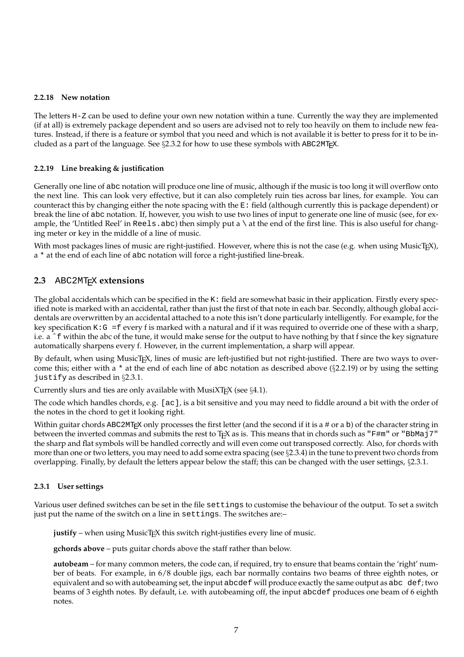#### **2.2.18 New notation**

The letters H-Z can be used to define your own new notation within a tune. Currently the way they are implemented (if at all) is extremely package dependent and so users are advised not to rely too heavily on them to include new features. Instead, if there is a feature or symbol that you need and which is not available it is better to press for it to be included as a part of the language. See  $\S2.3.2$  for how to use these symbols with ABC2MT<sub>E</sub>X.

#### **2.2.19 Line breaking & justification**

Generally one line of abc notation will produce one line of music, although if the music is too long it will overflow onto the next line. This can look very effective, but it can also completely ruin ties across bar lines, for example. You can counteract this by changing either the note spacing with the  $E:$  field (although currently this is package dependent) or break the line of abc notation. If, however, you wish to use two lines of input to generate one line of music (see, for example, the 'Untitled Reel' in Reels.abc) then simply put a  $\setminus$  at the end of the first line. This is also useful for changing meter or key in the middle of a line of music.

With most packages lines of music are right-justified. However, where this is not the case (e.g. when using MusicT<sub>E</sub>X), a \* at the end of each line of abc notation will force a right-justified line-break.

#### **2.3** ABC2MTEX **extensions**

The global accidentals which can be specified in the  $K$ : field are somewhat basic in their application. Firstly every specified note is marked with an accidental, rather than just the first of that note in each bar. Secondly, although global accidentals are overwritten by an accidental attached to a note this isn't done particularly intelligently. For example, for the key specification  $K:G = f$  every f is marked with a natural and if it was required to override one of these with a sharp, i.e. a ˆf within the abc of the tune, it would make sense for the output to have nothing by that f since the key signature automatically sharpens every f. However, in the current implementation, a sharp will appear.

By default, when using MusicT<sub>E</sub>X, lines of music are left-justified but not right-justified. There are two ways to overcome this; either with a  $*$  at the end of each line of abc notation as described above ( $\S2.2.19$ ) or by using the setting justify as described in  $\S 2.3.1$ .

Currently slurs and ties are only available with MusiXT<sub>E</sub>X (see  $\S 4.1$ ).

The code which handles chords, e.g. [ac], is a bit sensitive and you may need to fiddle around a bit with the order of the notes in the chord to get it looking right.

Within guitar chords ABC2MT<sub>E</sub>X only processes the first letter (and the second if it is a # or a b) of the character string in between the inverted commas and submits the rest to T<sub>E</sub>X as is. This means that in chords such as "F#m" or "BbMaj7" the sharp and flat symbols will be handled correctly and will even come out transposed correctly. Also, for chords with more than one or two letters, you may need to add some extra spacing (see  $\S 2.3.4$ ) in the tune to prevent two chords from overlapping. Finally, by default the letters appear below the staff; this can be changed with the user settings,  $\S 2.3.1$ .

#### **2.3.1 User settings**

Various user defined switches can be set in the file settings to customise the behaviour of the output. To set a switch just put the name of the switch on a line in settings. The switches are:–

justify – when using MusicT<sub>E</sub>X this switch right-justifies every line of music.

**gchords above** – puts guitar chords above the staff rather than below.

**autobeam** – for many common meters, the code can, if required, try to ensure that beams contain the 'right' number of beats. For example, in 6/8 double jigs, each bar normally contains two beams of three eighth notes, or equivalent and so with autobeaming set, the input abcdef will produce exactly the same output as abc def; two beams of 3 eighth notes. By default, i.e. with autobeaming off, the input abcdef produces one beam of 6 eighth notes.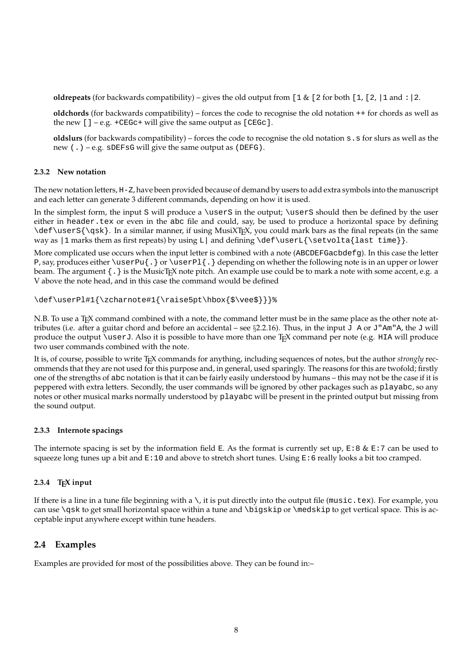**oldrepeats** (for backwards compatibility) – gives the old output from [1 & [2 for both [1, [2, |1 and :|2.

**oldchords** (for backwards compatibility) – forces the code to recognise the old notation ++ for chords as well as the new  $[$  ] – e.g. +CEGc+ will give the same output as  $[CEGC]$ .

**oldslurs** (for backwards compatibility) – forces the code to recognise the old notation s.s for slurs as well as the new (.) – e.g. sDEFsG will give the same output as (DEFG).

#### **2.3.2 New notation**

The new notation letters, H-Z, have been provided because of demand by users to add extra symbols into the manuscript and each letter can generate 3 different commands, depending on how it is used.

In the simplest form, the input S will produce a \userS in the output; \userS should then be defined by the user either in header.tex or even in the abc file and could, say, be used to produce a horizontal space by defining \def\userS{\qsk}. In a similar manner, if using MusiXTEX, you could mark bars as the final repeats (in the same way as  $|1$  marks them as first repeats) by using L and defining  $\det\text{sech}\$ .

More complicated use occurs when the input letter is combined with a note (ABCDEFGacbdefg). In this case the letter P, say, produces either  $\text{userPu}$ . or  $\text{userP1}$ . depending on whether the following note is in an upper or lower beam. The argument  $\{\cdot\}$  is the MusicT<sub>E</sub>X note pitch. An example use could be to mark a note with some accent, e.g. a V above the note head, and in this case the command would be defined

\def\userPl#1{\zcharnote#1{\raise5pt\hbox{\$\vee\$}}}%

N.B. To use a T<sub>E</sub>X command combined with a note, the command letter must be in the same place as the other note attributes (i.e. after a guitar chord and before an accidental – see §2.2.16). Thus, in the input  $J$  A or  $J$  "Am"A, the  $J$  will produce the output \userJ. Also it is possible to have more than one  $TrX$  command per note (e.g. HIA will produce two user commands combined with the note.

It is, of course, possible to write T<sub>E</sub>X commands for anything, including sequences of notes, but the author *strongly* recommends that they are not used for this purpose and, in general, used sparingly. The reasons for this are twofold; firstly one of the strengths of abc notation is that it can be fairly easily understood by humans – this may not be the case if it is peppered with extra letters. Secondly, the user commands will be ignored by other packages such as playabc, so any notes or other musical marks normally understood by playabc will be present in the printed output but missing from the sound output.

#### **2.3.3 Internote spacings**

The internote spacing is set by the information field E. As the format is currently set up,  $E:8 \& E:7$  can be used to squeeze long tunes up a bit and  $E:10$  and above to stretch short tunes. Using  $E:6$  really looks a bit too cramped.

#### **2.3.4 TEX input**

If there is a line in a tune file beginning with a  $\backslash$ , it is put directly into the output file (music.tex). For example, you can use  $\q$ sk to get small horizontal space within a tune and  $\bigcup$  skip or  $\medspace$  medskip to get vertical space. This is acceptable input anywhere except within tune headers.

#### **2.4 Examples**

Examples are provided for most of the possibilities above. They can be found in:–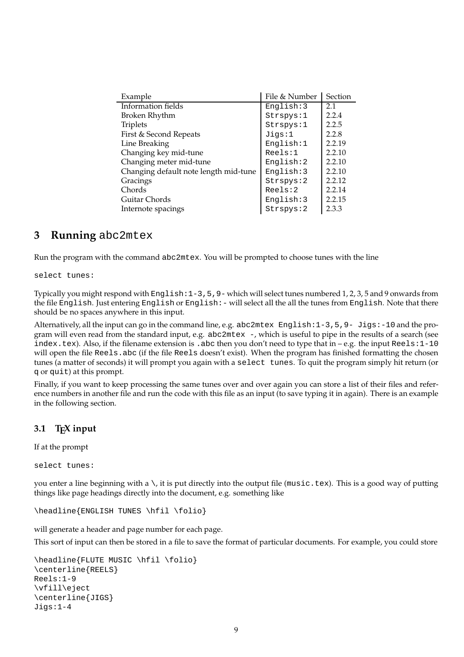| Example                               | File & Number | Section |
|---------------------------------------|---------------|---------|
| Information fields                    | English: 3    | 2.1     |
| Broken Rhythm                         | Strspys:1     | 2.2.4   |
| <b>Triplets</b>                       | Strspys:1     | 2.2.5   |
| First & Second Repeats                | Jiggs:1       | 2.2.8   |
| Line Breaking                         | English:1     | 2.2.19  |
| Changing key mid-tune                 | Reels:1       | 2.2.10  |
| Changing meter mid-tune               | English:2     | 2.2.10  |
| Changing default note length mid-tune | English:3     | 2.2.10  |
| Gracings                              | Strspys: 2    | 2.2.12  |
| Chords                                | Reels:2       | 2.2.14  |
| Guitar Chords                         | English: 3    | 2.2.15  |
| Internote spacings                    | Strspys: 2    | 2.3.3   |

## **3 Running** abc2mtex

Run the program with the command abc2mtex. You will be prompted to choose tunes with the line

select tunes:

Typically you might respond with English:1-3,5,9-which will select tunes numbered 1, 2, 3, 5 and 9 onwards from the file English. Just entering English or English:- will select all the all the tunes from English. Note that there should be no spaces anywhere in this input.

Alternatively, all the input can go in the command line, e.g. abc2mtex English:1-3,5,9- Jigs:-10 and the program will even read from the standard input, e.g. abc2mtex -, which is useful to pipe in the results of a search (see index.tex). Also, if the filename extension is .abc then you don't need to type that in -e.g. the input Reels:1-10 will open the file Reels.abc (if the file Reels doesn't exist). When the program has finished formatting the chosen tunes (a matter of seconds) it will prompt you again with a select tunes. To quit the program simply hit return (or q or quit) at this prompt.

Finally, if you want to keep processing the same tunes over and over again you can store a list of their files and reference numbers in another file and run the code with this file as an input (to save typing it in again). There is an example in the following section.

## **3.1 TEX input**

If at the prompt

select tunes:

you enter a line beginning with a  $\backslash$ , it is put directly into the output file (music.tex). This is a good way of putting things like page headings directly into the document, e.g. something like

```
\headline{ENGLISH TUNES \hfil \folio}
```
will generate a header and page number for each page.

This sort of input can then be stored in a file to save the format of particular documents. For example, you could store

```
\headline{FLUTE MUSIC \hfil \folio}
\centerline{REELS}
Reels:1-9
\vfill\eject
\centerline{JIGS}
Jigs:1-4
```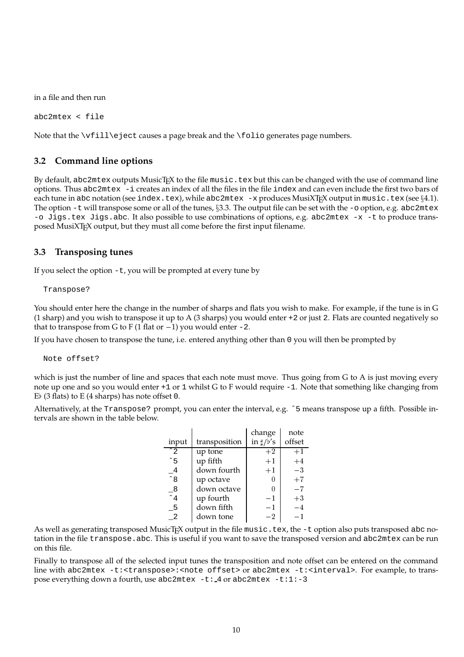in a file and then run

abc2mtex < file

Note that the  $\forall$ fill $\equiv$ ct causes a page break and the  $\land$ folio generates page numbers.

#### **3.2 Command line options**

By default, abc2mtex outputs MusicT<sub>E</sub>X to the file music.tex but this can be changed with the use of command line options. Thus abc2mtex -i creates an index of all the files in the file index and can even include the first two bars of each tune in abc notation (see index.tex), while abc2mtex -x produces MusiXTEX output in music.tex (see §4.1). The option  $-t$  will transpose some or all of the tunes, §3.3. The output file can be set with the  $-$ o option, e.g. abc2mtex -o Jigs.tex Jigs.abc. It also possible to use combinations of options, e.g. abc2mtex -x -t to produce transposed MusiXT<sub>E</sub>X output, but they must all come before the first input filename.

#### **3.3 Transposing tunes**

If you select the option  $-t$ , you will be prompted at every tune by

Transpose?

You should enter here the change in the number of sharps and flats you wish to make. For example, if the tune is in G (1 sharp) and you wish to transpose it up to A (3 sharps) you would enter +2 or just 2. Flats are counted negatively so that to transpose from G to F (1 flat or  $-1$ ) you would enter  $-2$ .

If you have chosen to transpose the tune, i.e. entered anything other than 0 you will then be prompted by

Note offset?

which is just the number of line and spaces that each note must move. Thus going from G to A is just moving every note up one and so you would enter +1 or 1 whilst G to F would require -1. Note that something like changing from E $\flat$  (3 flats) to E (4 sharps) has note offset 0.

Alternatively, at the Transpose? prompt, you can enter the interval, e.g. ˆ5 means transpose up a fifth. Possible intervals are shown in the table below.

|                            |               | change                   | note   |
|----------------------------|---------------|--------------------------|--------|
| input                      | transposition | in $\sharp$ / $\flat$ 's | offset |
| $\hat{2}$                  | up tone       | $+2$                     | $+1$   |
| $\hat{5}$                  | up fifth      | $+1$                     | $+4$   |
| $-4$                       | down fourth   | $+1$                     | $-3$   |
| $\overline{\phantom{a}}^8$ | up octave     |                          | $+7$   |
| - 8                        | down octave   | 0                        | $-7$   |
| $\overline{^{\sim}}$ 4     | up fourth     | $-1$                     | $+3$   |
| - 5                        | down fifth    | $-1$                     | $-4$   |
| $\overline{2}$             | down tone     | -2                       |        |

As well as generating transposed MusicT<sub>E</sub>X output in the file music.tex, the  $-$ t option also puts transposed abc notation in the file transpose.abc. This is useful if you want to save the transposed version and abc2mtex can be run on this file.

Finally to transpose all of the selected input tunes the transposition and note offset can be entered on the command line with abc2mtex -t:<transpose>:<note offset> or abc2mtex -t:<interval>. For example, to transpose everything down a fourth, use abc2mtex -t: 4 or abc2mtex -t:1:-3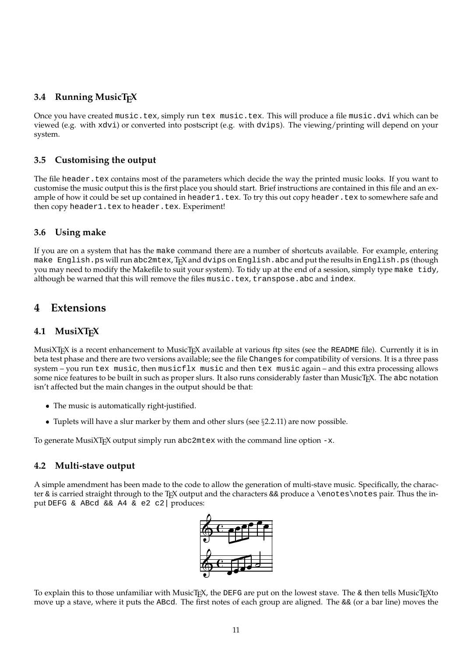## **3.4 Running MusicTEX**

Once you have created music.tex, simply run tex music.tex. This will produce a file music.dvi which can be viewed (e.g. with xdvi) or converted into postscript (e.g. with dvips). The viewing/printing will depend on your system.

## **3.5 Customising the output**

The file header.tex contains most of the parameters which decide the way the printed music looks. If you want to customise the music output this is the first place you should start. Brief instructions are contained in this file and an example of how it could be set up contained in header1.tex. To try this out copy header.tex to somewhere safe and then copy header1.tex to header.tex. Experiment!

## **3.6 Using make**

If you are on a system that has the make command there are a number of shortcuts available. For example, entering make English.ps will run abc2mtex, TEX and dvips on English.abc and put the results in English.ps (though you may need to modify the Makefile to suit your system). To tidy up at the end of a session, simply type make tidy, although be warned that this will remove the files music.tex, transpose.abc and index.

## **4 Extensions**

## **4.1 MusiXTEX**

MusiXT<sub>E</sub>X is a recent enhancement to MusicT<sub>E</sub>X available at various ftp sites (see the README file). Currently it is in beta test phase and there are two versions available; see the file Changes for compatibility of versions. It is a three pass system – you run tex music, then musicflx music and then tex music again – and this extra processing allows some nice features to be built in such as proper slurs. It also runs considerably faster than MusicTEX. The abc notation isn't affected but the main changes in the output should be that:

- The music is automatically right-justified.
- $\bullet$  Tuplets will have a slur marker by them and other slurs (see  $\S 2.2.11$ ) are now possible.

To generate MusiXT<sub>E</sub>X output simply run abc2mtex with the command line option  $-x$ .

## **4.2 Multi-stave output**

A simple amendment has been made to the code to allow the generation of multi-stave music. Specifically, the character  $\&$  is carried straight through to the T<sub>E</sub>X output and the characters  $\&&$  produce a \enotes\notes pair. Thus the input DEFG & ABcd && A4 & e2 c2| produces:



To explain this to those unfamiliar with MusicT<sub>E</sub>X, the DEFG are put on the lowest stave. The  $\&$  then tells MusicT<sub>E</sub>Xto move up a stave, where it puts the ABcd. The first notes of each group are aligned. The && (or a bar line) moves the